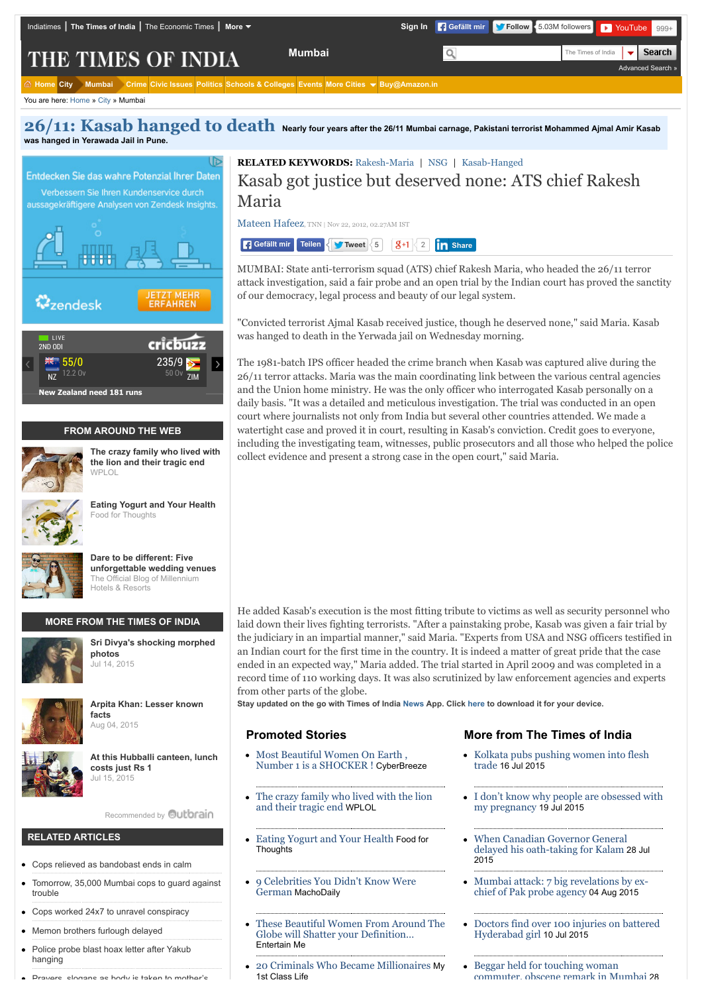| Indiatimes   The Times of India   The Economic Times   More ▼                                                                        |               |   | Sign In   Gefällt mir   Follow   5.03M followers   F YouTube   999+ |
|--------------------------------------------------------------------------------------------------------------------------------------|---------------|---|---------------------------------------------------------------------|
| <b>THE TIMES OF INDIA</b>                                                                                                            | <b>Mumbai</b> | Q | The Times of India $\blacktriangledown$ Search<br>Advanced Search » |
| $\hat{\omega}$ Home City Mumbai Crime Civic Issues Politics Schools & Colleges Events More Cities $\blacktriangledown$ Buy@Amazon.in |               |   |                                                                     |

You are here: [Home](http://timesofindia.indiatimes.com/) » [City](http://timesofindia.indiatimes.com/city/cityarticlelist/-2128932452.cms) » Mumbai

**[26/11: Kasab hanged to death](http://timesofindia.indiatimes.com/kasab-hanged-to-death/specialcoverage/5180657.cms) Nearly four years after the 26/11 Mumbai carnage, Pakistani terrorist Mohammed Ajmal Amir Kasab was hanged in Yerawada Jail in Pune.**



**RELATED KEYWORDS:** [Rakesh-Maria](http://timesofindia.indiatimes.com/topic/Rakesh-Maria) | [NSG](http://timesofindia.indiatimes.com/topic/NSG) | [Kasab-Hanged](http://timesofindia.indiatimes.com/topic/Kasab-Hanged)

# Kasab got justice but deserved none: ATS chief Rakesh Maria

[Mateen Hafeez,](http://timesofindia.indiatimes.com/toireporter/author-Mateen-Hafeez.cms) TNN | Nov 22, 2012, 02.27AM IST

**Gefällt mir** Teilen < **S** [Tweet](https://twitter.com/intent/tweet?original_referer=http%3A%2F%2Ftimesofindia.indiatimes.com%2Fcity%2Fmumbai%2FKasab-got-justice-but-deserved-none-ATS-chief-Rakesh-Maria%2Farticleshow%2F17315466.cms%3Freferral%3DPM&ref_src=twsrc%5Etfw&text=Kasab%20got%20justice%20but%20deserved%20none%3A%20ATS%20chief%20Rakesh%20Maria&tw_p=tweetbutton&url=http%3A%2F%2Ftimesofindia.indiatimes.com%2Fcity%2Fmumbai%2FKasab-got-justice-but-deserved-none-ATS-chief-Rakesh-Maria%2Farticleshow%2F17315466.cms) <  $5$  |  $8+1$  < 2 | **in** [Share](javascript:void(0);)

MUMBAI: State anti-terrorism squad (ATS) chief Rakesh Maria, who headed the 26/11 terror attack investigation, said a fair probe and an open trial by the Indian court has proved the sanctity of our democracy, legal process and beauty of our legal system.

"Convicted terrorist Ajmal Kasab received justice, though he deserved none," said Maria. Kasab was hanged to death in the Yerwada jail on Wednesday morning.

The 1981-batch IPS officer headed the crime branch when Kasab was captured alive during the 26/11 terror attacks. Maria was the main coordinating link between the various central agencies and the Union home ministry. He was the only officer who interrogated Kasab personally on a daily basis. "It was a detailed and meticulous investigation. The trial was conducted in an open court where journalists not only from India but several other countries attended. We made a watertight case and proved it in court, resulting in Kasab's conviction. Credit goes to everyone, including the investigating team, witnesses, public prosecutors and all those who helped the police collect evidence and present a strong case in the open court," said Maria.

He added Kasab's execution is the most fitting tribute to victims as well as security personnel who laid down their lives fighting terrorists. "After a painstaking probe, Kasab was given a fair trial by the judiciary in an impartial manner," said Maria. "Experts from USA and NSG officers testified in an Indian court for the first time in the country. It is indeed a matter of great pride that the case ended in an expected way," Maria added. The trial started in April 2009 and was completed in a record time of 110 working days. It was also scrutinized by law enforcement agencies and experts from other parts of the globe.

**Stay updated on the go with Times of India [News](https://play.google.com/store/apps/details?id=com.toi.reader.activities) App. Click [here](http://timesofindia.indiatimes.com/mobileapplist/7404562.cms?utm_source=articleshow_bottom&utm_medium=showpage&utm_campaign=articleshow) to download it for your device.**

#### **Promoted Stories**

- [Most Beautiful Women On Earth ,](http://cyber-breeze.com/brace-your-eyes-the-most-beautiful-women-on-earth/?utm_source=Outbrain&utm_medium=referral&utm_campaign=OB-Beautiful-Int-DT) Number 1 is a SHOCKER ! CyberBreeze
- [The crazy family who lived with the lion](http://www.wplol.us/the-crazy-family-who-lived-with-the-lion-and-their-tragic-end/) and their tragic end WPLOL
- [Eating Yogurt and Your Health](http://blog.strauss-group.com/experts-sharing-knowledge/eating-yogurt-and-your-health/) Food for **Thoughts**
- [9 Celebrities You Didn't Know Were](http://machodaily.com/2015/06/9-celebrities-didnt-know-german/?utm_source=Outbrain&utm_medium=CPC&utm_campaign=OB_DE_Desktop_Tablet_Macho_9CelebritiesGerman) German MachoDaily
- [These Beautiful Women From Around The](http://cyber-breeze.com/beauty-from-around-the-globe/?utm_source=Outbrain&utm_medium=referral&utm_campaign=OB-IntBeauty-Int-Des) Globe will Shatter your Definition… Entertain Me
- [20 Criminals Who Became Millionaires](http://myfirstclasslife.com/20-wealthiest-criminals-ever/?utm_source=ob-0055ce62c3613297af4c51646f9a2f2f78&utm_medium=outbrain&utm_campaign=na) My 1st Class Life

### **More from The Times of India**

- [Kolkata pubs pushing women into flesh](http://timesofindia.indiatimes.com/city/kolkata/Kolkata-pubs-pushing-women-into-flesh-trade/articleshow/48091300.cms?intenttarget=no) trade 16 Jul 2015
- [I don't know why people are obsessed with](http://timesofindia.indiatimes.com/entertainment/tamil/movies/news/I-dont-know-why-people-are-obsessed-with-my-pregnancy/articleshow/48124457.cms?intenttarget=no) my pregnancy 19 Jul 2015
- [When Canadian Governor General](http://timesofindia.indiatimes.com/india/When-Canadian-Governor-General-delayed-his-oath-taking-for-Kalam/articleshow/48247906.cms?intenttarget=no) delayed his oath-taking for Kalam 28 Jul  $2015$
- [Mumbai attack: 7 big revelations by ex](http://timesofindia.indiatimes.com/india/Mumbai-attack-7-big-revelations-by-ex-chief-of-Pak-probe-agency/articleshow/48344104.cms?intenttarget=no)chief of Pak probe agency 04 Aug 2015
- [Doctors find over 100 injuries on battered](http://timesofindia.indiatimes.com/city/hyderabad/Doctors-find-over-100-injuries-on-battered-Hyderabad-girl/articleshow/48011231.cms?intenttarget=no) Hyderabad girl 10 Jul 2015
- [Beggar held for touching woman](http://timesofindia.indiatimes.com/city/mumbai/Beggar-held-for-touching-woman-commuter-obscene-remark-in-Mumbai/articleshow/48256567.cms?intenttarget=no) commuter, obscene remark in Mumbai 28

Police probe blast hoax letter after Yakuh hanging Drayare, clogane as body is taken to mother's

[Cops relieved as bandobast ends in calm](http://timesofindia.indiatimes.com/city/mumbai/Cops-relieved-as-bandobast-ends-in-calm/articleshow/48302750.cms)

[Cops worked 24x7 to unravel conspiracy](http://timesofindia.indiatimes.com/city/mumbai/Cops-worked-24x7-to-unravel-conspiracy/articleshow/48275359.cms) • [Memon brothers furlough delayed](http://timesofindia.indiatimes.com/india/Memon-brothers-furlough-delayed/articleshow/48302477.cms)

[Tomorrow, 35,000 Mumbai cops to guard against](http://timesofindia.indiatimes.com/city/mumbai/Tomorrow-35000-Mumbai-cops-to-guard-against-trouble/articleshow/48259608.cms)

**RELATED ARTICLES**

trouble

[Recommended by](http://timesofindia.indiatimes.com/city/mumbai/Kasab-got-justice-but-deserved-none-ATS-chief-Rakesh-Maria/articleshow/17315466.cms?referral=PM#) **Outbrain**